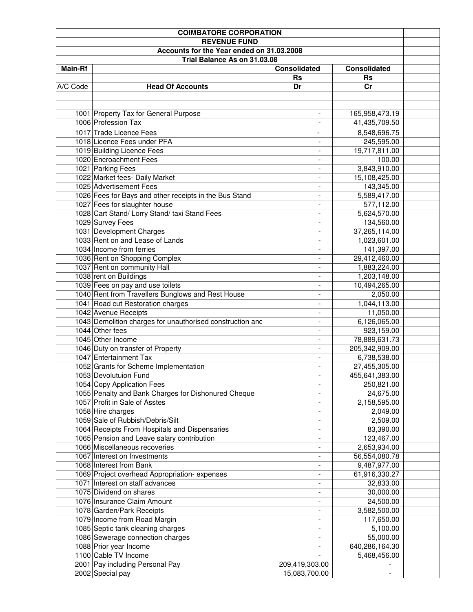| <b>COIMBATORE CORPORATION</b> |                                                           |                          |                     |  |  |
|-------------------------------|-----------------------------------------------------------|--------------------------|---------------------|--|--|
|                               | <b>REVENUE FUND</b>                                       |                          |                     |  |  |
|                               | Accounts for the Year ended on 31.03.2008                 |                          |                     |  |  |
|                               | Trial Balance As on 31.03.08                              |                          |                     |  |  |
| <b>Main-Rf</b>                |                                                           | <b>Consolidated</b>      | <b>Consolidated</b> |  |  |
|                               |                                                           | Rs                       | <b>Rs</b>           |  |  |
| A/C Code                      | <b>Head Of Accounts</b>                                   | Dr                       | cr                  |  |  |
|                               |                                                           |                          |                     |  |  |
|                               |                                                           |                          |                     |  |  |
|                               | 1001 Property Tax for General Purpose                     | $\overline{\phantom{a}}$ | 165,958,473.19      |  |  |
|                               | 1006 Profession Tax                                       | $\overline{\phantom{a}}$ | 41,435,709.50       |  |  |
|                               | 1017 Trade Licence Fees                                   | $\overline{\phantom{0}}$ | 8,548,696.75        |  |  |
|                               | 1018 Licence Fees under PFA                               |                          |                     |  |  |
|                               |                                                           | $\overline{\phantom{a}}$ | 245,595.00          |  |  |
|                               | 1019 Building Licence Fees                                | $\overline{\phantom{a}}$ | 19,717,811.00       |  |  |
|                               | 1020 Encroachment Fees                                    | $\overline{\phantom{0}}$ | 100.00              |  |  |
|                               | 1021 Parking Fees                                         | -                        | 3,843,910.00        |  |  |
|                               | 1022 Market fees- Daily Market                            | $\overline{a}$           | 15,108,425.00       |  |  |
|                               | 1025 Advertisement Fees                                   |                          | 143,345.00          |  |  |
|                               | 1026 Fees for Bays and other receipts in the Bus Stand    | $\overline{\phantom{a}}$ | 5,589,417.00        |  |  |
|                               | 1027 Fees for slaughter house                             | $\overline{\phantom{0}}$ | 577,112.00          |  |  |
|                               | 1028 Cart Stand/ Lorry Stand/ taxi Stand Fees             | ۰                        | 5,624,570.00        |  |  |
|                               | 1029 Survey Fees                                          | $\blacksquare$           | 134,560.00          |  |  |
|                               | 1031 Development Charges                                  | $\overline{a}$           | 37,265,114.00       |  |  |
|                               | 1033 Rent on and Lease of Lands                           |                          | 1,023,601.00        |  |  |
|                               | 1034 Income from ferries                                  |                          | 141,397.00          |  |  |
|                               | 1036 Rent on Shopping Complex                             |                          | 29,412,460.00       |  |  |
|                               | 1037 Rent on community Hall                               | $\overline{\phantom{a}}$ | 1,883,224.00        |  |  |
|                               | 1038 rent on Buildings                                    | $\overline{\phantom{a}}$ | 1,203,148.00        |  |  |
|                               | 1039 Fees on pay and use toilets                          | $\overline{\phantom{0}}$ | 10,494,265.00       |  |  |
|                               | 1040 Rent from Travellers Bunglows and Rest House         | $\overline{\phantom{a}}$ | 2,050.00            |  |  |
|                               | 1041 Road cut Restoration charges                         | $\overline{\phantom{a}}$ | 1,044,113.00        |  |  |
|                               | 1042 Avenue Receipts                                      | -                        | 11,050.00           |  |  |
|                               | 1043 Demolition charges for unauthorised construction and | $\overline{\phantom{0}}$ | 6,126,065.00        |  |  |
|                               | 1044 Other fees                                           |                          | 923,159.00          |  |  |
|                               | 1045 Other Income                                         | $\overline{\phantom{a}}$ | 78,889,631.73       |  |  |
|                               | 1046 Duty on transfer of Property                         | $\blacksquare$           | 205,342,909.00      |  |  |
|                               | 1047 Entertainment Tax                                    | $\overline{\phantom{a}}$ | 6,738,538.00        |  |  |
|                               |                                                           |                          |                     |  |  |
|                               | 1052 Grants for Scheme Implementation                     |                          | 27,455,305.00       |  |  |
|                               | 1053 Devolutuion Fund                                     |                          | 455,641,383.00      |  |  |
|                               | 1054 Copy Application Fees                                |                          | 250,821.00          |  |  |
|                               | 1055 Penalty and Bank Charges for Dishonured Cheque       |                          | 24,675.00           |  |  |
|                               | 1057 Profit in Sale of Asstes                             | $\overline{\phantom{a}}$ | 2,158,595.00        |  |  |
|                               | 1058 Hire charges                                         | $\overline{\phantom{a}}$ | 2,049.00            |  |  |
|                               | 1059 Sale of Rubbish/Debris/Silt                          | $\overline{\phantom{a}}$ | 2,509.00            |  |  |
|                               | 1064 Receipts From Hospitals and Dispensaries             | $\overline{\phantom{a}}$ | 83,390.00           |  |  |
|                               | 1065 Pension and Leave salary contribution                | -                        | 123,467.00          |  |  |
|                               | 1066 Miscellaneous recoveries                             | $\overline{\phantom{0}}$ | 2,653,934.00        |  |  |
|                               | 1067 Interest on Investments                              | $\overline{\phantom{a}}$ | 56,554,080.78       |  |  |
|                               | 1068 Interest from Bank                                   | ۰                        | 9,487,977.00        |  |  |
|                               | 1069 Project overhead Appropriation-expenses              | $\overline{\phantom{0}}$ | 61,916,330.27       |  |  |
|                               | 1071 Interest on staff advances                           |                          | 32,833.00           |  |  |
|                               | 1075 Dividend on shares                                   | $\overline{\phantom{0}}$ | 30,000.00           |  |  |
|                               | 1076 Insurance Claim Amount                               |                          | 24,500.00           |  |  |
|                               | 1078 Garden/Park Receipts                                 |                          | 3,582,500.00        |  |  |
|                               | 1079 Income from Road Margin                              |                          | 117,650.00          |  |  |
|                               | 1085 Septic tank cleaning charges                         | $\overline{\phantom{0}}$ | 5,100.00            |  |  |
|                               | 1086 Sewerage connection charges                          |                          | 55,000.00           |  |  |
|                               | 1088 Prior year Income                                    | $\frac{1}{2}$            | 640,286,164.30      |  |  |
|                               | 1100 Cable TV Income                                      |                          | 5,468,456.00        |  |  |
|                               | 2001 Pay including Personal Pay                           | 209,419,303.00           |                     |  |  |
|                               | 2002 Special pay                                          | 15,083,700.00            |                     |  |  |
|                               |                                                           |                          |                     |  |  |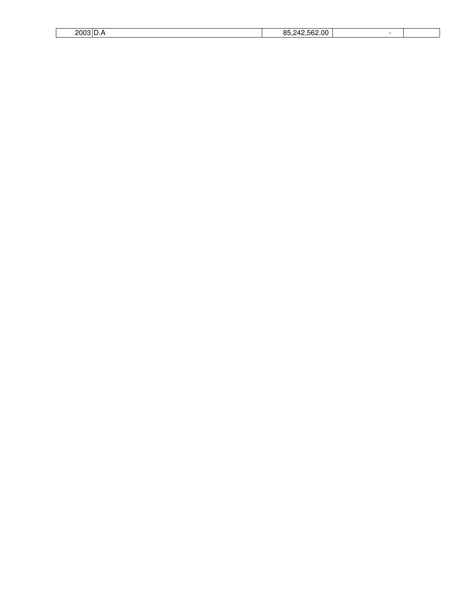| ~~<br>٦r | - |  |
|----------|---|--|
|          |   |  |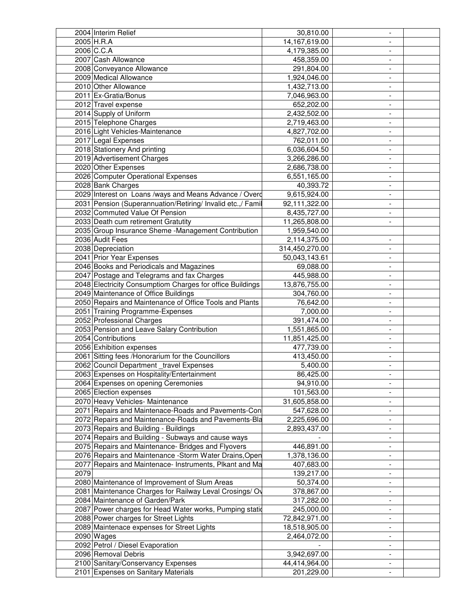|      | 2004 Interim Relief                                         | 30,810.00      |                          |  |
|------|-------------------------------------------------------------|----------------|--------------------------|--|
|      | 2005 H.R.A                                                  | 14,167,619.00  |                          |  |
|      | 2006 C.C.A                                                  | 4,179,385.00   |                          |  |
|      | 2007 Cash Allowance                                         | 458,359.00     |                          |  |
|      | 2008 Conveyance Allowance                                   | 291,804.00     |                          |  |
|      | 2009 Medical Allowance                                      | 1,924,046.00   | $\overline{\phantom{0}}$ |  |
|      | 2010 Other Allowance                                        | 1,432,713.00   | $\overline{\phantom{0}}$ |  |
|      | 2011 Ex-Gratia/Bonus                                        | 7,046,963.00   |                          |  |
|      |                                                             |                | $\overline{\phantom{0}}$ |  |
|      | 2012 Travel expense                                         | 652,202.00     | $\overline{\phantom{a}}$ |  |
|      | 2014 Supply of Uniform                                      | 2,432,502.00   | $\overline{\phantom{0}}$ |  |
|      | 2015 Telephone Charges                                      | 2,719,463.00   | $\overline{\phantom{0}}$ |  |
|      | 2016 Light Vehicles-Maintenance                             | 4,827,702.00   | -                        |  |
|      | 2017 Legal Expenses                                         | 762,011.00     | $\overline{\phantom{0}}$ |  |
|      | 2018 Stationery And printing                                | 6,036,604.50   | $\overline{\phantom{0}}$ |  |
|      | 2019 Advertisement Charges                                  | 3,266,286.00   | $\overline{\phantom{0}}$ |  |
|      | 2020 Other Expenses                                         | 2,686,738.00   | $\overline{\phantom{0}}$ |  |
|      | 2026 Computer Operational Expenses                          | 6,551,165.00   | $\overline{\phantom{a}}$ |  |
|      | 2028 Bank Charges                                           | 40,393.72      | $\overline{\phantom{a}}$ |  |
|      | 2029 Interest on Loans /ways and Means Advance / Overd      | 9,615,924.00   |                          |  |
|      | 2031 Pension (Superannuation/Retiring/ Invalid etc.,/ Famil | 92,111,322.00  |                          |  |
|      | 2032 Commuted Value Of Pension                              | 8,435,727.00   |                          |  |
|      | 2033 Death cum retirement Gratutity                         | 11,265,808.00  | $\overline{\phantom{0}}$ |  |
|      | 2035 Group Insurance Sheme -Management Contribution         | 1,959,540.00   |                          |  |
|      | 2036 Audit Fees                                             |                |                          |  |
|      |                                                             | 2,114,375.00   | $\overline{\phantom{a}}$ |  |
|      | 2038 Depreciation                                           | 314,450,270.00 | $\overline{\phantom{0}}$ |  |
|      | 2041 Prior Year Expenses                                    | 50,043,143.61  | $\overline{\phantom{a}}$ |  |
|      | 2046 Books and Periodicals and Magazines                    | 69,088.00      | $\frac{1}{2}$            |  |
|      | 2047 Postage and Telegrams and fax Charges                  | 445,988.00     | -                        |  |
|      | 2048 Electricity Consumptiom Charges for office Buildings   | 13,876,755.00  | -                        |  |
|      | 2049 Maintenance of Office Buildings                        | 304,760.00     | $\overline{\phantom{0}}$ |  |
|      | 2050 Repairs and Maintenance of Office Tools and Plants     | 76,642.00      | $\overline{\phantom{0}}$ |  |
|      | 2051 Training Programme-Expenses                            | 7,000.00       | $\overline{\phantom{0}}$ |  |
|      | 2052 Professional Charges                                   | 391,474.00     | $\overline{\phantom{0}}$ |  |
|      | 2053 Pension and Leave Salary Contribution                  | 1,551,865.00   | $\overline{\phantom{a}}$ |  |
|      | 2054 Contributions                                          | 11,851,425.00  | $\overline{\phantom{a}}$ |  |
|      | 2056 Exhibition expenses                                    | 477,739.00     | $\overline{\phantom{a}}$ |  |
|      | 2061 Sitting fees /Honorarium for the Councillors           | 413,450.00     |                          |  |
|      | 2062 Council Department _travel Expenses                    | 5,400.00       | $\frac{1}{2}$            |  |
|      | 2063 Expenses on Hospitality/Entertainment                  | 86,425.00      |                          |  |
|      |                                                             |                |                          |  |
|      | 2064 Expenses on opening Ceremonies                         | 94,910.00      |                          |  |
|      | 2065 Election expenses                                      | 101,563.00     |                          |  |
|      | 2070 Heavy Vehicles- Maintenance                            | 31,605,858.00  | $\overline{\phantom{a}}$ |  |
|      | 2071 Repairs and Maintenace-Roads and Pavements-Con         | 547,628.00     | $\overline{\phantom{0}}$ |  |
|      | 2072 Repairs and Maintenance-Roads and Pavements-Bla        | 2,225,696.00   | $\overline{\phantom{0}}$ |  |
|      | 2073 Repairs and Building - Buildings                       | 2,893,437.00   | ۰.                       |  |
|      | 2074 Repairs and Building - Subways and cause ways          |                | $\overline{\phantom{0}}$ |  |
|      | 2075 Repairs and Maintenance- Bridges and Flyovers          | 446,891.00     | $\overline{\phantom{0}}$ |  |
|      | 2076 Repairs and Maintenance -Storm Water Drains, Open      | 1,378,136.00   | $\overline{\phantom{0}}$ |  |
|      | 2077 Repairs and Maintenace- Instruments, Plkant and Ma     | 407,683.00     |                          |  |
| 2079 |                                                             | 139,217.00     | ۰                        |  |
|      | 2080 Maintenance of Improvement of Slum Areas               | 50,374.00      | $\overline{\phantom{0}}$ |  |
|      | 2081 Maintenance Charges for Railway Leval Crosings/Ov      | 378,867.00     |                          |  |
|      | 2084 Maintenance of Garden/Park                             | 317,282.00     |                          |  |
|      | 2087 Power charges for Head Water works, Pumping statid     | 245,000.00     | $\overline{\phantom{a}}$ |  |
|      | 2088 Power charges for Street Lights                        | 72,842,971.00  | $\overline{\phantom{0}}$ |  |
|      |                                                             |                |                          |  |
|      | 2089 Maintenace expenses for Street Lights                  | 18,518,905.00  | $\overline{\phantom{0}}$ |  |
|      | 2090 Wages                                                  | 2,464,072.00   |                          |  |
|      | 2092 Petrol / Diesel Evaporation                            |                | $\overline{\phantom{0}}$ |  |
|      | 2096 Removal Debris                                         | 3,942,697.00   | $\overline{\phantom{0}}$ |  |
|      | 2100 Sanitary/Conservancy Expenses                          | 44,414,964.00  | Ξ.                       |  |
|      | 2101 Expenses on Sanitary Materials                         | 201,229.00     | $\overline{\phantom{0}}$ |  |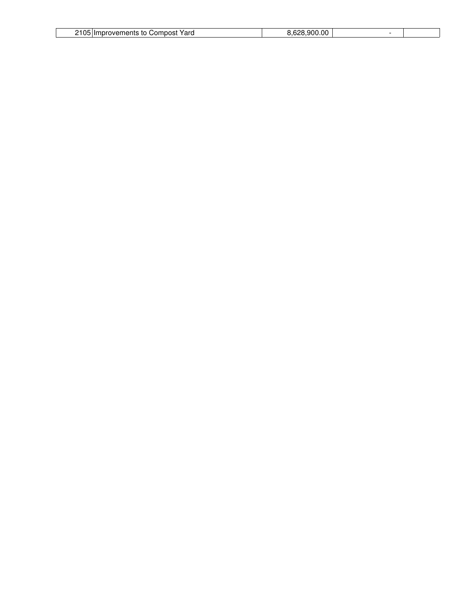| <b>2105</b><br>Yaro<br>.or<br>- 10<br>IDOSI<br>"" ⊔<br>пе<br>1 H S | $\sim$<br>റേറ<br>n |  |
|--------------------------------------------------------------------|--------------------|--|
|                                                                    |                    |  |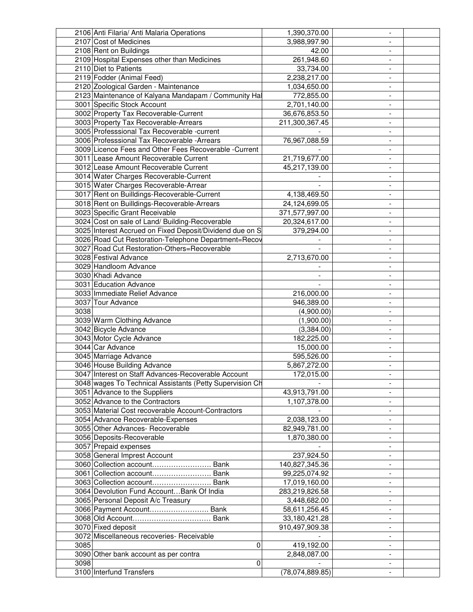|      | 2106 Anti Filaria/ Anti Malaria Operations                                                      | 1,390,370.00    |                          |  |
|------|-------------------------------------------------------------------------------------------------|-----------------|--------------------------|--|
|      | 2107 Cost of Medicines                                                                          | 3,988,997.90    |                          |  |
|      | 2108 Rent on Buildings                                                                          | 42.00           |                          |  |
|      | 2109 Hospital Expenses other than Medicines                                                     | 261,948.60      |                          |  |
|      | 2110 Diet to Patients                                                                           | 33,734.00       |                          |  |
|      | 2119 Fodder (Animal Feed)                                                                       | 2,238,217.00    |                          |  |
|      | 2120 Zoological Garden - Maintenance                                                            | 1,034,650.00    |                          |  |
|      | 2123 Maintenance of Kalyana Mandapam / Community Hal                                            | 772,855.00      | $\overline{\phantom{a}}$ |  |
|      | 3001 Specific Stock Account                                                                     | 2,701,140.00    | $\overline{\phantom{a}}$ |  |
|      | 3002 Property Tax Recoverable-Current                                                           | 36,676,853.50   | $\overline{\phantom{a}}$ |  |
|      | 3003 Property Tax Recoverable-Arrears                                                           | 211,300,367.45  | $\overline{\phantom{a}}$ |  |
|      | 3005 Professsional Tax Recoverable -current                                                     |                 |                          |  |
|      | 3006 Professsional Tax Recoverable - Arrears                                                    | 76,967,088.59   | $\overline{\phantom{a}}$ |  |
|      |                                                                                                 |                 | $\overline{\phantom{0}}$ |  |
|      | 3009 Licence Fees and Other Fees Recoverable - Current<br>3011 Lease Amount Recoverable Current |                 |                          |  |
|      |                                                                                                 | 21,719,677.00   |                          |  |
|      | 3012 Lease Amount Recoverable Current                                                           | 45,217,139.00   | $\overline{\phantom{a}}$ |  |
|      | 3014 Water Charges Recoverable-Current                                                          |                 | $\overline{a}$           |  |
|      | 3015 Water Charges Recoverable-Arrear                                                           |                 |                          |  |
|      | 3017 Rent on Builldings-Recoverable-Current                                                     | 4,138,469.50    |                          |  |
|      | 3018 Rent on Builldings-Recoverable-Arrears                                                     | 24,124,699.05   |                          |  |
|      | 3023 Specific Grant Receivable                                                                  | 371,577,997.00  | $\overline{\phantom{a}}$ |  |
|      | 3024 Cost on sale of Land/ Building-Recoverable                                                 | 20,324,617.00   |                          |  |
|      | 3025 Interest Accrued on Fixed Deposit/Dividend due on S                                        | 379,294.00      |                          |  |
|      | 3026 Road Cut Restoration-Telephone Department=Recov                                            |                 |                          |  |
|      | 3027 Road Cut Restoration-Others=Recoverable                                                    |                 | $\overline{\phantom{a}}$ |  |
|      | 3028 Festival Advance                                                                           | 2,713,670.00    | $\overline{\phantom{a}}$ |  |
|      | 3029 Handloom Advance                                                                           |                 | $\overline{\phantom{a}}$ |  |
|      | 3030 Khadi Advance                                                                              |                 | $\overline{\phantom{a}}$ |  |
|      | 3031 Education Advance                                                                          |                 | $\overline{\phantom{a}}$ |  |
|      | 3033 Immediate Relief Advance                                                                   | 216,000.00      | $\overline{\phantom{a}}$ |  |
|      | 3037 Tour Advance                                                                               | 946,389.00      | $\overline{a}$           |  |
| 3038 |                                                                                                 | (4,900.00)      |                          |  |
|      | 3039 Warm Clothing Advance                                                                      | (1,900.00)      | $\overline{\phantom{a}}$ |  |
|      | 3042 Bicycle Advance                                                                            | (3,384.00)      | $\overline{\phantom{a}}$ |  |
|      | 3043 Motor Cycle Advance                                                                        | 182,225.00      | $\overline{\phantom{a}}$ |  |
|      | 3044 Car Advance                                                                                | 15,000.00       |                          |  |
|      | 3045 Marriage Advance                                                                           | 595,526.00      |                          |  |
|      | 3046 House Building Advance                                                                     | 5,867,272.00    | $\frac{1}{2}$            |  |
|      | 3047 Interest on Staff Advances-Recoverable Account                                             | 172,015.00      |                          |  |
|      | 3048 wages To Technical Assistants (Petty Supervision Ch                                        |                 |                          |  |
|      | 3051 Advance to the Suppliers                                                                   | 43,913,791.00   |                          |  |
|      | 3052 Advance to the Contractors                                                                 | 1,107,378.00    | $\overline{\phantom{a}}$ |  |
|      | 3053 Material Cost recoverable Account-Contractors                                              |                 | $\overline{\phantom{a}}$ |  |
|      | 3054 Advance Recoverable-Expenses                                                               | 2,038,123.00    | $\overline{\phantom{a}}$ |  |
|      | 3055 Other Advances- Recoverable                                                                | 82,949,781.00   | $\blacksquare$           |  |
|      | 3056 Deposits-Recoverable                                                                       | 1,870,380.00    | $\overline{\phantom{a}}$ |  |
|      | 3057 Prepaid expenses                                                                           |                 | $\overline{\phantom{a}}$ |  |
|      | 3058 General Imprest Account                                                                    | 237,924.50      | $\overline{\phantom{a}}$ |  |
|      | 3060 Collection account Bank                                                                    | 140,827,345.36  | $\overline{\phantom{a}}$ |  |
|      | 3061 Collection account Bank                                                                    | 99,225,074.92   | $\overline{\phantom{a}}$ |  |
|      | 3063 Collection account Bank                                                                    | 17,019,160.00   | $\overline{\phantom{a}}$ |  |
|      | 3064 Devolution Fund Account Bank Of India                                                      | 283,219,826.58  |                          |  |
|      | 3065 Personal Deposit A/c Treasury                                                              | 3,448,682.00    |                          |  |
|      | 3066 Payment Account Bank                                                                       | 58,611,256.45   |                          |  |
|      |                                                                                                 | 33,180,421.28   | $\overline{\phantom{0}}$ |  |
|      | 3070 Fixed deposit                                                                              | 910,497,909.38  | $\overline{\phantom{a}}$ |  |
|      | 3072 Miscellaneous recoveries- Receivable                                                       |                 | $\overline{\phantom{a}}$ |  |
| 3085 | $\mathbf 0$                                                                                     | 419,192.00      | $\overline{\phantom{a}}$ |  |
|      |                                                                                                 |                 |                          |  |
| 3098 | 3090 Other bank account as per contra                                                           | 2,848,087.00    | $\overline{\phantom{a}}$ |  |
|      | 0                                                                                               |                 | $\overline{\phantom{a}}$ |  |
|      | 3100 Interfund Transfers                                                                        | (78,074,889.85) |                          |  |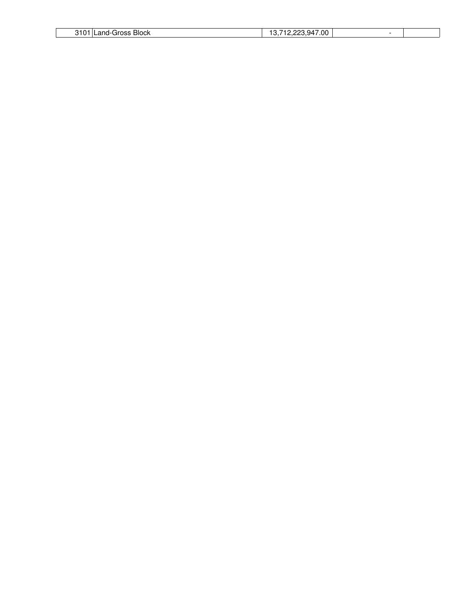| <b>Block</b><br>21 N.<br>sross'<br>anı<br>$-1$<br>___ | 947.00<br>◡ |  |
|-------------------------------------------------------|-------------|--|
|                                                       |             |  |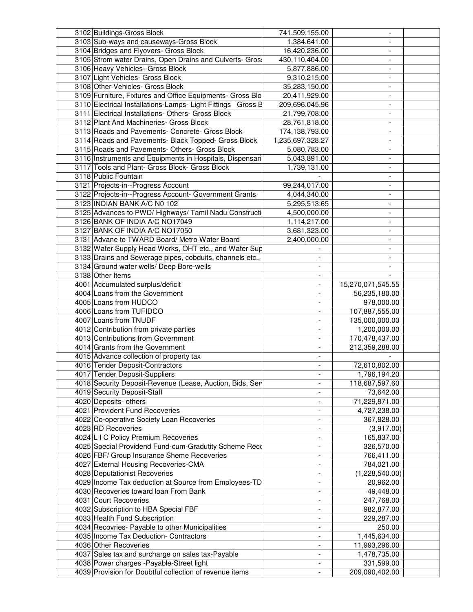| 3102 Buildings-Gross Block                                                                           | 741,509,155.00           |                              |  |
|------------------------------------------------------------------------------------------------------|--------------------------|------------------------------|--|
| 3103 Sub-ways and causeways-Gross Block                                                              | 1,384,641.00             |                              |  |
| 3104 Bridges and Flyovers- Gross Block                                                               | 16,420,236.00            |                              |  |
| 3105 Strom water Drains, Open Drains and Culverts- Gros                                              | 430,110,404.00           |                              |  |
| 3106 Heavy Vehicles--Gross Block                                                                     | 5,877,886.00             | $\overline{\phantom{0}}$     |  |
| 3107 Light Vehicles- Gross Block                                                                     | 9,310,215.00             | $\overline{\phantom{0}}$     |  |
| 3108 Other Vehicles- Gross Block                                                                     | 35,283,150.00            | $\overline{\phantom{a}}$     |  |
| 3109 Furniture, Fixtures and Office Equipments- Gross Blo                                            | 20,411,929.00            | $\overline{\phantom{0}}$     |  |
| 3110 Electrical Installations-Lamps- Light Fittings _Gross B                                         | 209,696,045.96           | $\overline{\phantom{0}}$     |  |
| 3111 Electrical Installations- Others- Gross Block                                                   | 21,799,708.00            |                              |  |
| 3112 Plant And Machineries- Gross Block                                                              |                          | $\overline{\phantom{0}}$     |  |
|                                                                                                      | 28,761,818.00            | $\overline{\phantom{a}}$     |  |
| 3113 Roads and Pavements- Concrete- Gross Block                                                      | 174,138,793.00           | ۰                            |  |
| 3114 Roads and Pavements- Black Topped- Gross Block                                                  | 1,235,697,328.27         | $\overline{\phantom{0}}$     |  |
| 3115 Roads and Pavements- Others- Gross Block                                                        | 5,080,783.00             | $\overline{a}$               |  |
| 3116 Instruments and Equipments in Hospitals, Dispensari                                             | 5,043,891.00             | $\overline{a}$               |  |
| 3117 Tools and Plant- Gross Block- Gross Block                                                       | 1,739,131.00             | ٠                            |  |
| 3118 Public Fountain                                                                                 |                          |                              |  |
| 3121 Projects-in--Progress Account                                                                   | 99,244,017.00            |                              |  |
| 3122 Projects-in--Progress Account- Government Grants                                                | 4,044,340.00             |                              |  |
| 3123 INDIAN BANK A/C N0 102                                                                          | 5,295,513.65             |                              |  |
| 3125 Advances to PWD/ Highways/ Tamil Nadu Constructi                                                | 4,500,000.00             |                              |  |
| 3126 BANK OF INDIA A/C NO17049                                                                       | 1,114,217.00             |                              |  |
| 3127 BANK OF INDIA A/C NO17050                                                                       | 3,681,323.00             |                              |  |
| 3131 Advane to TWARD Board/ Metro Water Board                                                        | 2,400,000.00             | $\overline{\phantom{a}}$     |  |
| 3132 Water Supply Head Works, OHT etc., and Water Sup                                                |                          | $\overline{\phantom{a}}$     |  |
| 3133 Drains and Sewerage pipes, cobduits, channels etc.,                                             | $\overline{\phantom{a}}$ | $\overline{\phantom{a}}$     |  |
| 3134 Ground water wells/ Deep Bore-wells                                                             |                          | $\overline{\phantom{a}}$     |  |
| 3138 Other Items                                                                                     | $\overline{\phantom{a}}$ |                              |  |
| 4001 Accumulated surplus/deficit                                                                     |                          | 15,270,071,545.55            |  |
| 4004 Loans from the Government                                                                       |                          | 56,235,180.00                |  |
| 4005 Loans from HUDCO                                                                                |                          | 978,000.00                   |  |
| 4006 Loans from TUFIDCO                                                                              |                          | 107,887,555.00               |  |
|                                                                                                      |                          |                              |  |
| 4007 Loans from TNUDF                                                                                |                          | 135,000,000.00               |  |
| 4012 Contribution from private parties                                                               |                          | 1,200,000.00                 |  |
|                                                                                                      |                          |                              |  |
| 4013 Contributions from Government                                                                   |                          | 170,478,437.00               |  |
| 4014 Grants from the Government                                                                      |                          | 212,359,288.00               |  |
| 4015 Advance collection of property tax                                                              |                          |                              |  |
| 4016 Tender Deposit-Contractors                                                                      | $\blacksquare$           | 72,610,802.00                |  |
| 4017 Tender Deposit-Suppliers                                                                        |                          | 1,796,194.20                 |  |
| 4018 Security Deposit-Revenue (Lease, Auction, Bids, Ser                                             |                          | 118,687,597.60               |  |
| 4019 Security Deposit-Staff                                                                          |                          | 73,642.00                    |  |
| 4020 Deposits- others                                                                                | $\overline{\phantom{a}}$ | 71,229,871.00                |  |
| 4021 Provident Fund Recoveries                                                                       | $\overline{\phantom{a}}$ | 4,727,238.00                 |  |
| 4022 Co-operative Society Loan Recoveries                                                            | $\overline{\phantom{a}}$ | 367,828.00                   |  |
| 4023 RD Recoveries                                                                                   | $\overline{\phantom{a}}$ |                              |  |
|                                                                                                      | $\overline{\phantom{a}}$ | (3,917.00)<br>165,837.00     |  |
| 4024 L I C Policy Premium Recoveries                                                                 |                          |                              |  |
| 4025 Special Providend Fund-cum-Gradutity Scheme Reco                                                |                          | 326,570.00                   |  |
| 4026 FBF/ Group Insurance Sheme Recoveries                                                           |                          | 766,411.00                   |  |
| 4027 External Housing Recoveries-CMA                                                                 |                          | 784,021.00                   |  |
| 4028 Deputationist Recoveries                                                                        |                          | (1,228,540.00)               |  |
| 4029 Income Tax deduction at Source from Employees-TD                                                |                          | 20,962.00                    |  |
| 4030 Recoveries toward loan From Bank                                                                |                          | 49,448.00                    |  |
| 4031 Court Recoveries                                                                                |                          | 247,768.00                   |  |
| 4032 Subscription to HBA Special FBF                                                                 |                          | 982,877.00                   |  |
| 4033 Health Fund Subscription                                                                        |                          | 229,287.00                   |  |
| 4034 Recovries- Payable to other Municipalities                                                      |                          | 250.00                       |  |
| 4035 Income Tax Deduction- Contractors                                                               |                          | 1,445,634.00                 |  |
| 4036 Other Recoveries                                                                                | $\overline{\phantom{a}}$ | 11,993,296.00                |  |
| 4037 Sales tax and surcharge on sales tax-Payable                                                    | $\overline{\phantom{a}}$ | 1,478,735.00                 |  |
| 4038 Power charges - Payable-Street light<br>4039 Provision for Doubtful collection of revenue items | $\overline{\phantom{a}}$ | 331,599.00<br>209,090,402.00 |  |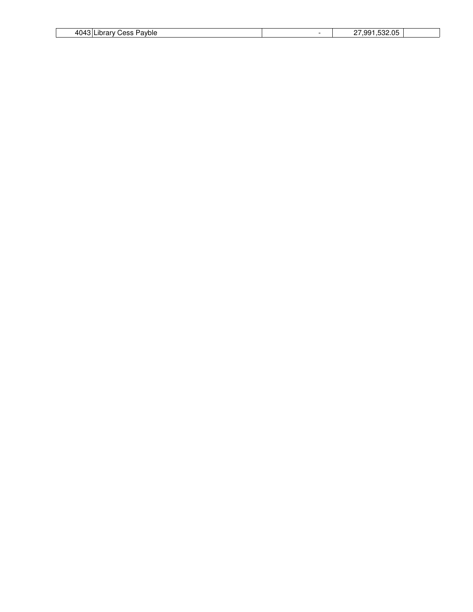| 1011<br>Payble<br>$\sim$<br>⊢ ۱۲۰۰<br>ərv<br>$\overline{\phantom{a}}$<br>. . | - | $-0.00$<br>aa<br>.<br>. |  |
|------------------------------------------------------------------------------|---|-------------------------|--|
|                                                                              |   |                         |  |